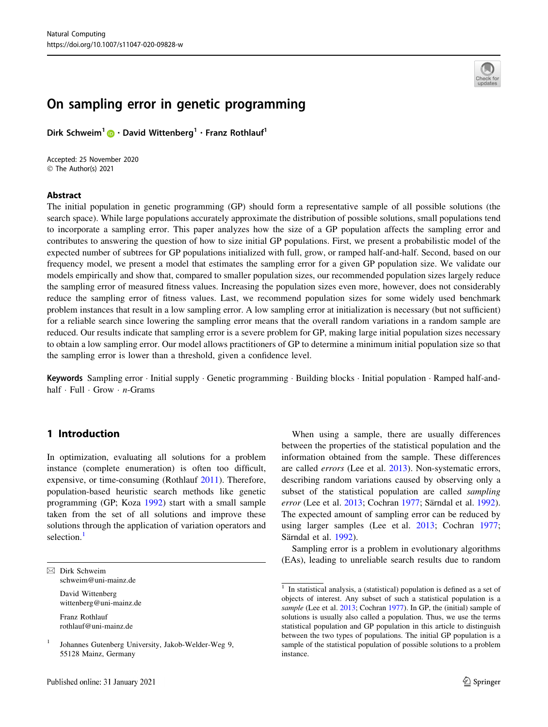

# On sampling error in genetic programming

Dirk Schweim<sup>1</sup> • David Wittenberg<sup>1</sup> • Franz Rothlauf<sup>1</sup>

Accepted: 25 November 2020 © The Author(s) 2021

#### Abstract

The initial population in genetic programming (GP) should form a representative sample of all possible solutions (the search space). While large populations accurately approximate the distribution of possible solutions, small populations tend to incorporate a sampling error. This paper analyzes how the size of a GP population affects the sampling error and contributes to answering the question of how to size initial GP populations. First, we present a probabilistic model of the expected number of subtrees for GP populations initialized with full, grow, or ramped half-and-half. Second, based on our frequency model, we present a model that estimates the sampling error for a given GP population size. We validate our models empirically and show that, compared to smaller population sizes, our recommended population sizes largely reduce the sampling error of measured fitness values. Increasing the population sizes even more, however, does not considerably reduce the sampling error of fitness values. Last, we recommend population sizes for some widely used benchmark problem instances that result in a low sampling error. A low sampling error at initialization is necessary (but not sufficient) for a reliable search since lowering the sampling error means that the overall random variations in a random sample are reduced. Our results indicate that sampling error is a severe problem for GP, making large initial population sizes necessary to obtain a low sampling error. Our model allows practitioners of GP to determine a minimum initial population size so that the sampling error is lower than a threshold, given a confidence level.

Keywords Sampling error · Initial supply · Genetic programming · Building blocks · Initial population · Ramped half-andhalf · Full · Grow · *n*-Grams

# 1 Introduction

In optimization, evaluating all solutions for a problem instance (complete enumeration) is often too difficult, expensive, or time-consuming (Rothlauf [2011](#page-13-0)). Therefore, population-based heuristic search methods like genetic programming (GP; Koza [1992\)](#page-12-0) start with a small sample taken from the set of all solutions and improve these solutions through the application of variation operators and selection.<sup>1</sup>

 $\boxtimes$  Dirk Schweim schweim@uni-mainz.de

> David Wittenberg wittenberg@uni-mainz.de

Franz Rothlauf rothlauf@uni-mainz.de

When using a sample, there are usually differences between the properties of the statistical population and the information obtained from the sample. These differences are called errors (Lee et al. [2013\)](#page-12-0). Non-systematic errors, describing random variations caused by observing only a subset of the statistical population are called *sampling* error (Lee et al. [2013](#page-12-0); Cochran [1977](#page-12-0); Särndal et al. [1992](#page-13-0)). The expected amount of sampling error can be reduced by using larger samples (Lee et al. [2013;](#page-12-0) Cochran [1977](#page-12-0); Särndal et al. [1992\)](#page-13-0).

Sampling error is a problem in evolutionary algorithms (EAs), leading to unreliable search results due to random

<sup>1</sup> Johannes Gutenberg University, Jakob-Welder-Weg 9, 55128 Mainz, Germany

 $\frac{1}{1}$  In statistical analysis, a (statistical) population is defined as a set of objects of interest. Any subset of such a statistical population is a sample (Lee et al. [2013;](#page-12-0) Cochran [1977](#page-12-0)). In GP, the (initial) sample of solutions is usually also called a population. Thus, we use the terms statistical population and GP population in this article to distinguish between the two types of populations. The initial GP population is a sample of the statistical population of possible solutions to a problem instance.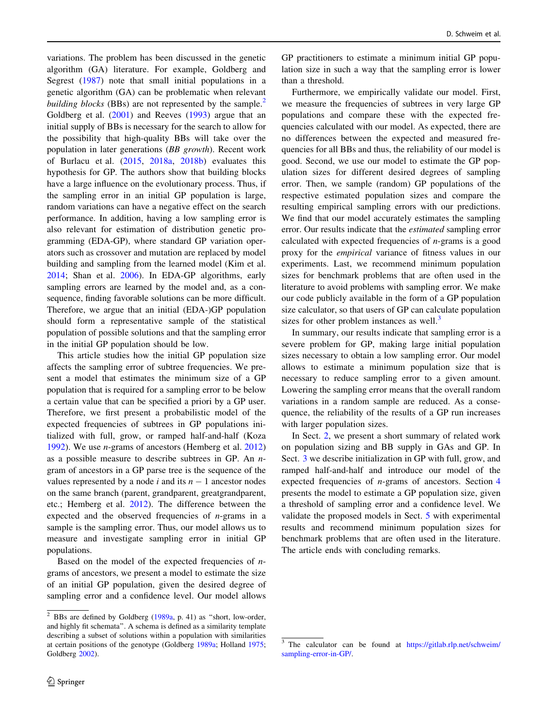variations. The problem has been discussed in the genetic algorithm (GA) literature. For example, Goldberg and Segrest [\(1987](#page-12-0)) note that small initial populations in a genetic algorithm (GA) can be problematic when relevant *building blocks* (BBs) are not represented by the sample.<sup>2</sup> Goldberg et al. ([2001\)](#page-12-0) and Reeves [\(1993](#page-12-0)) argue that an initial supply of BBs is necessary for the search to allow for the possibility that high-quality BBs will take over the population in later generations (BB growth). Recent work of Burlacu et al. ([2015,](#page-12-0) [2018a](#page-12-0), [2018b](#page-12-0)) evaluates this hypothesis for GP. The authors show that building blocks have a large influence on the evolutionary process. Thus, if the sampling error in an initial GP population is large, random variations can have a negative effect on the search performance. In addition, having a low sampling error is also relevant for estimation of distribution genetic programming (EDA-GP), where standard GP variation operators such as crossover and mutation are replaced by model building and sampling from the learned model (Kim et al. [2014;](#page-12-0) Shan et al. [2006\)](#page-13-0). In EDA-GP algorithms, early sampling errors are learned by the model and, as a consequence, finding favorable solutions can be more difficult. Therefore, we argue that an initial (EDA-)GP population should form a representative sample of the statistical population of possible solutions and that the sampling error in the initial GP population should be low.

This article studies how the initial GP population size affects the sampling error of subtree frequencies. We present a model that estimates the minimum size of a GP population that is required for a sampling error to be below a certain value that can be specified a priori by a GP user. Therefore, we first present a probabilistic model of the expected frequencies of subtrees in GP populations initialized with full, grow, or ramped half-and-half (Koza [1992\)](#page-12-0). We use n-grams of ancestors (Hemberg et al. [2012\)](#page-12-0) as a possible measure to describe subtrees in GP. An ngram of ancestors in a GP parse tree is the sequence of the values represented by a node i and its  $n - 1$  ancestor nodes on the same branch (parent, grandparent, greatgrandparent, etc.; Hemberg et al. [2012\)](#page-12-0). The difference between the expected and the observed frequencies of  $n$ -grams in a sample is the sampling error. Thus, our model allows us to measure and investigate sampling error in initial GP populations.

Based on the model of the expected frequencies of  $n$ grams of ancestors, we present a model to estimate the size of an initial GP population, given the desired degree of sampling error and a confidence level. Our model allows GP practitioners to estimate a minimum initial GP population size in such a way that the sampling error is lower than a threshold.

Furthermore, we empirically validate our model. First, we measure the frequencies of subtrees in very large GP populations and compare these with the expected frequencies calculated with our model. As expected, there are no differences between the expected and measured frequencies for all BBs and thus, the reliability of our model is good. Second, we use our model to estimate the GP population sizes for different desired degrees of sampling error. Then, we sample (random) GP populations of the respective estimated population sizes and compare the resulting empirical sampling errors with our predictions. We find that our model accurately estimates the sampling error. Our results indicate that the estimated sampling error calculated with expected frequencies of  $n$ -grams is a good proxy for the empirical variance of fitness values in our experiments. Last, we recommend minimum population sizes for benchmark problems that are often used in the literature to avoid problems with sampling error. We make our code publicly available in the form of a GP population size calculator, so that users of GP can calculate population sizes for other problem instances as well.<sup>3</sup>

In summary, our results indicate that sampling error is a severe problem for GP, making large initial population sizes necessary to obtain a low sampling error. Our model allows to estimate a minimum population size that is necessary to reduce sampling error to a given amount. Lowering the sampling error means that the overall random variations in a random sample are reduced. As a consequence, the reliability of the results of a GP run increases with larger population sizes.

In Sect. [2](#page-2-0), we present a short summary of related work on population sizing and BB supply in GAs and GP. In Sect. [3](#page-3-0) we describe initialization in GP with full, grow, and ramped half-and-half and introduce our model of the expected frequencies of n-grams of ancestors. Section [4](#page-6-0) presents the model to estimate a GP population size, given a threshold of sampling error and a confidence level. We validate the proposed models in Sect. [5](#page-7-0) with experimental results and recommend minimum population sizes for benchmark problems that are often used in the literature. The article ends with concluding remarks.

 $\overline{2}$  BBs are defined by Goldberg [\(1989a](#page-12-0), p. 41) as "short, low-order, and highly fit schemata''. A schema is defined as a similarity template describing a subset of solutions within a population with similarities at certain positions of the genotype (Goldberg [1989a;](#page-12-0) Holland [1975;](#page-12-0) Goldberg [2002\)](#page-12-0).

<sup>&</sup>lt;sup>3</sup> The calculator can be found at [https://gitlab.rlp.net/schweim/](https://gitlab.rlp.net/schweim/sampling-error-in-GP/) [sampling-error-in-GP/.](https://gitlab.rlp.net/schweim/sampling-error-in-GP/)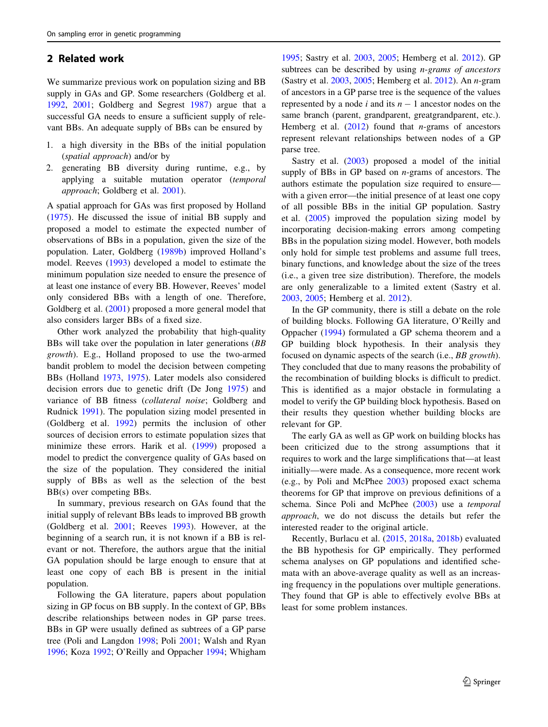### <span id="page-2-0"></span>2 Related work

We summarize previous work on population sizing and BB supply in GAs and GP. Some researchers (Goldberg et al. [1992,](#page-12-0) [2001](#page-12-0); Goldberg and Segrest [1987\)](#page-12-0) argue that a successful GA needs to ensure a sufficient supply of relevant BBs. An adequate supply of BBs can be ensured by

- 1. a high diversity in the BBs of the initial population (spatial approach) and/or by
- 2. generating BB diversity during runtime, e.g., by applying a suitable mutation operator (temporal approach; Goldberg et al. [2001](#page-12-0)).

A spatial approach for GAs was first proposed by Holland [\(1975](#page-12-0)). He discussed the issue of initial BB supply and proposed a model to estimate the expected number of observations of BBs in a population, given the size of the population. Later, Goldberg [\(1989b](#page-12-0)) improved Holland's model. Reeves [\(1993](#page-12-0)) developed a model to estimate the minimum population size needed to ensure the presence of at least one instance of every BB. However, Reeves' model only considered BBs with a length of one. Therefore, Goldberg et al. ([2001\)](#page-12-0) proposed a more general model that also considers larger BBs of a fixed size.

Other work analyzed the probability that high-quality BBs will take over the population in later generations (BB growth). E.g., Holland proposed to use the two-armed bandit problem to model the decision between competing BBs (Holland [1973,](#page-12-0) [1975\)](#page-12-0). Later models also considered decision errors due to genetic drift (De Jong [1975\)](#page-12-0) and variance of BB fitness (collateral noise; Goldberg and Rudnick [1991](#page-12-0)). The population sizing model presented in (Goldberg et al. [1992](#page-12-0)) permits the inclusion of other sources of decision errors to estimate population sizes that minimize these errors. Harik et al. [\(1999](#page-12-0)) proposed a model to predict the convergence quality of GAs based on the size of the population. They considered the initial supply of BBs as well as the selection of the best BB(s) over competing BBs.

In summary, previous research on GAs found that the initial supply of relevant BBs leads to improved BB growth (Goldberg et al. [2001](#page-12-0); Reeves [1993](#page-12-0)). However, at the beginning of a search run, it is not known if a BB is relevant or not. Therefore, the authors argue that the initial GA population should be large enough to ensure that at least one copy of each BB is present in the initial population.

Following the GA literature, papers about population sizing in GP focus on BB supply. In the context of GP, BBs describe relationships between nodes in GP parse trees. BBs in GP were usually defined as subtrees of a GP parse tree (Poli and Langdon [1998](#page-12-0); Poli [2001;](#page-12-0) Walsh and Ryan [1996;](#page-13-0) Koza [1992;](#page-12-0) O'Reilly and Oppacher [1994;](#page-12-0) Whigham

[1995](#page-13-0); Sastry et al. [2003,](#page-13-0) [2005](#page-13-0); Hemberg et al. [2012](#page-12-0)). GP subtrees can be described by using *n*-grams of ancestors (Sastry et al. [2003,](#page-13-0) [2005;](#page-13-0) Hemberg et al. [2012](#page-12-0)). An n-gram of ancestors in a GP parse tree is the sequence of the values represented by a node i and its  $n - 1$  ancestor nodes on the same branch (parent, grandparent, greatgrandparent, etc.). Hemberg et al.  $(2012)$  $(2012)$  found that *n*-grams of ancestors represent relevant relationships between nodes of a GP parse tree.

Sastry et al. [\(2003](#page-13-0)) proposed a model of the initial supply of BBs in GP based on  $n$ -grams of ancestors. The authors estimate the population size required to ensure with a given error—the initial presence of at least one copy of all possible BBs in the initial GP population. Sastry et al. [\(2005](#page-13-0)) improved the population sizing model by incorporating decision-making errors among competing BBs in the population sizing model. However, both models only hold for simple test problems and assume full trees, binary functions, and knowledge about the size of the trees (i.e., a given tree size distribution). Therefore, the models are only generalizable to a limited extent (Sastry et al. [2003](#page-13-0), [2005;](#page-13-0) Hemberg et al. [2012](#page-12-0)).

In the GP community, there is still a debate on the role of building blocks. Following GA literature, O'Reilly and Oppacher [\(1994](#page-12-0)) formulated a GP schema theorem and a GP building block hypothesis. In their analysis they focused on dynamic aspects of the search (i.e., BB growth). They concluded that due to many reasons the probability of the recombination of building blocks is difficult to predict. This is identified as a major obstacle in formulating a model to verify the GP building block hypothesis. Based on their results they question whether building blocks are relevant for GP.

The early GA as well as GP work on building blocks has been criticized due to the strong assumptions that it requires to work and the large simplifications that—at least initially—were made. As a consequence, more recent work (e.g., by Poli and McPhee [2003\)](#page-12-0) proposed exact schema theorems for GP that improve on previous definitions of a schema. Since Poli and McPhee [\(2003](#page-12-0)) use a temporal approach, we do not discuss the details but refer the interested reader to the original article.

Recently, Burlacu et al. ([2015,](#page-12-0) [2018a](#page-12-0), [2018b\)](#page-12-0) evaluated the BB hypothesis for GP empirically. They performed schema analyses on GP populations and identified schemata with an above-average quality as well as an increasing frequency in the populations over multiple generations. They found that GP is able to effectively evolve BBs at least for some problem instances.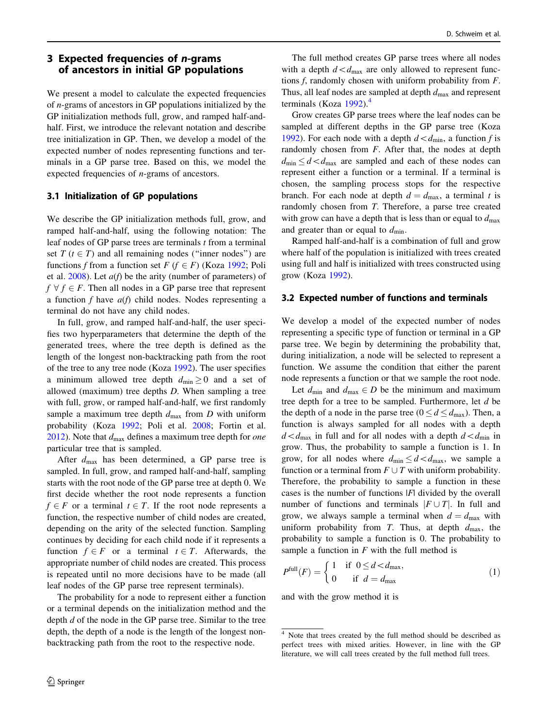# <span id="page-3-0"></span>3 Expected frequencies of n-grams of ancestors in initial GP populations

We present a model to calculate the expected frequencies of n-grams of ancestors in GP populations initialized by the GP initialization methods full, grow, and ramped half-andhalf. First, we introduce the relevant notation and describe tree initialization in GP. Then, we develop a model of the expected number of nodes representing functions and terminals in a GP parse tree. Based on this, we model the expected frequencies of n-grams of ancestors.

### 3.1 Initialization of GP populations

We describe the GP initialization methods full, grow, and ramped half-and-half, using the following notation: The leaf nodes of GP parse trees are terminals  $t$  from a terminal set  $T$  ( $t \in T$ ) and all remaining nodes ("inner nodes") are functions f from a function set  $F$  ( $f \in F$ ) (Koza [1992](#page-12-0); Poli et al.  $2008$ ). Let  $a(f)$  be the arity (number of parameters) of  $f \forall f \in F$ . Then all nodes in a GP parse tree that represent a function f have  $a(f)$  child nodes. Nodes representing a terminal do not have any child nodes.

In full, grow, and ramped half-and-half, the user specifies two hyperparameters that determine the depth of the generated trees, where the tree depth is defined as the length of the longest non-backtracking path from the root of the tree to any tree node (Koza [1992\)](#page-12-0). The user specifies a minimum allowed tree depth  $d_{\min} \geq 0$  and a set of allowed (maximum) tree depths D. When sampling a tree with full, grow, or ramped half-and-half, we first randomly sample a maximum tree depth  $d_{\text{max}}$  from D with uniform probability (Koza [1992;](#page-12-0) Poli et al. [2008](#page-12-0); Fortin et al. [2012\)](#page-12-0). Note that  $d_{\text{max}}$  defines a maximum tree depth for *one* particular tree that is sampled.

After  $d_{\text{max}}$  has been determined, a GP parse tree is sampled. In full, grow, and ramped half-and-half, sampling starts with the root node of the GP parse tree at depth 0. We first decide whether the root node represents a function  $f \in F$  or a terminal  $t \in T$ . If the root node represents a function, the respective number of child nodes are created, depending on the arity of the selected function. Sampling continues by deciding for each child node if it represents a function  $f \in F$  or a terminal  $t \in T$ . Afterwards, the appropriate number of child nodes are created. This process is repeated until no more decisions have to be made (all leaf nodes of the GP parse tree represent terminals).

The probability for a node to represent either a function or a terminal depends on the initialization method and the depth  $d$  of the node in the GP parse tree. Similar to the tree depth, the depth of a node is the length of the longest nonbacktracking path from the root to the respective node.

The full method creates GP parse trees where all nodes with a depth  $d \lt d_{\text{max}}$  are only allowed to represent functions  $f$ , randomly chosen with uniform probability from  $F$ . Thus, all leaf nodes are sampled at depth  $d_{\text{max}}$  and represent terminals (Koza  $1992$ ).<sup>4</sup>

Grow creates GP parse trees where the leaf nodes can be sampled at different depths in the GP parse tree (Koza [1992](#page-12-0)). For each node with a depth  $d \lt d_{\min}$ , a function f is randomly chosen from  $F$ . After that, the nodes at depth  $d_{\min} \leq d \lt d_{\max}$  are sampled and each of these nodes can represent either a function or a terminal. If a terminal is chosen, the sampling process stops for the respective branch. For each node at depth  $d = d_{\text{max}}$ , a terminal t is randomly chosen from T. Therefore, a parse tree created with grow can have a depth that is less than or equal to  $d_{\text{max}}$ and greater than or equal to  $d_{\min}$ .

Ramped half-and-half is a combination of full and grow where half of the population is initialized with trees created using full and half is initialized with trees constructed using grow (Koza [1992\)](#page-12-0).

#### 3.2 Expected number of functions and terminals

We develop a model of the expected number of nodes representing a specific type of function or terminal in a GP parse tree. We begin by determining the probability that, during initialization, a node will be selected to represent a function. We assume the condition that either the parent node represents a function or that we sample the root node.

Let  $d_{\min}$  and  $d_{\max} \in D$  be the minimum and maximum tree depth for a tree to be sampled. Furthermore, let d be the depth of a node in the parse tree ( $0 \le d \le d_{\text{max}}$ ). Then, a function is always sampled for all nodes with a depth  $d \lt d_{\text{max}}$  in full and for all nodes with a depth  $d \lt d_{\text{min}}$  in grow. Thus, the probability to sample a function is 1. In grow, for all nodes where  $d_{\min} \leq d \lt d_{\max}$ , we sample a function or a terminal from  $F \cup T$  with uniform probability. Therefore, the probability to sample a function in these cases is the number of functions |F| divided by the overall number of functions and terminals  $|F \cup T|$ . In full and grow, we always sample a terminal when  $d = d_{\text{max}}$  with uniform probability from T. Thus, at depth  $d_{\text{max}}$ , the probability to sample a function is 0. The probability to sample a function in  $F$  with the full method is

$$
Pfull(F) = \begin{cases} 1 & \text{if } 0 \le d < d_{\text{max}}, \\ 0 & \text{if } d = d_{\text{max}} \end{cases}
$$
 (1)

and with the grow method it is

<sup>4</sup> Note that trees created by the full method should be described as perfect trees with mixed arities. However, in line with the GP literature, we will call trees created by the full method full trees.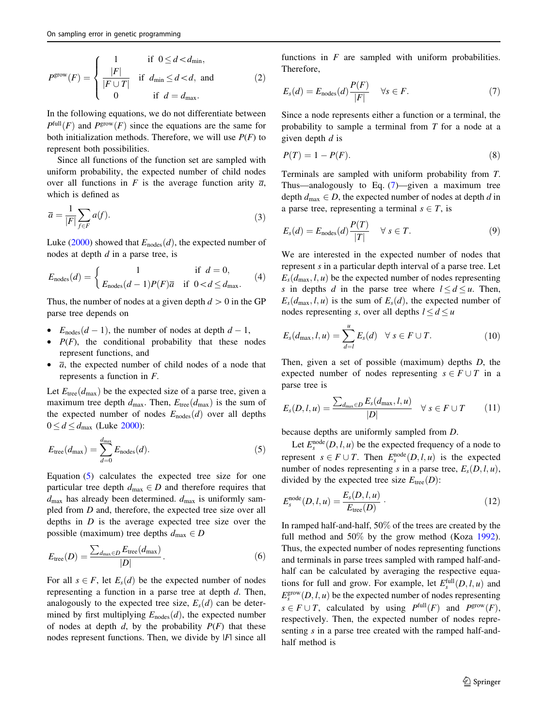<span id="page-4-0"></span>
$$
P^{\text{grow}}(F) = \begin{cases} 1 & \text{if } 0 \le d < d_{\text{min}}, \\ \frac{|F|}{|F \cup T|} & \text{if } d_{\text{min}} \le d < d, \text{ and} \\ 0 & \text{if } d = d_{\text{max}}. \end{cases} \tag{2}
$$

In the following equations, we do not differentiate between  $P^{\text{full}}(F)$  and  $P^{\text{grow}}(F)$  since the equations are the same for both initialization methods. Therefore, we will use  $P(F)$  to represent both possibilities.

Since all functions of the function set are sampled with uniform probability, the expected number of child nodes over all functions in F is the average function arity  $\overline{a}$ , which is defined as

$$
\overline{a} = \frac{1}{|F|} \sum_{f \in F} a(f). \tag{3}
$$

Luke [\(2000](#page-12-0)) showed that  $E_{\text{nodes}}(d)$ , the expected number of nodes at depth d in a parse tree, is

$$
E_{\text{nodes}}(d) = \begin{cases} 1 & \text{if } d = 0, \\ E_{\text{nodes}}(d-1)P(F)\overline{a} & \text{if } 0 < d \le d_{\text{max}}. \end{cases} \tag{4}
$$

Thus, the number of nodes at a given depth  $d > 0$  in the GP parse tree depends on

- $E_{\text{nodes}}(d-1)$ , the number of nodes at depth  $d-1$ ,
- $P(F)$ , the conditional probability that these nodes represent functions, and
- $\overline{a}$ , the expected number of child nodes of a node that represents a function in F.

Let  $E_{\text{tree}}(d_{\text{max}})$  be the expected size of a parse tree, given a maximum tree depth  $d_{\text{max}}$ . Then,  $E_{\text{tree}}(d_{\text{max}})$  is the sum of the expected number of nodes  $E_{\text{nodes}}(d)$  over all depths  $0 \le d \le d_{\text{max}}$  (Luke [2000](#page-12-0)):

$$
E_{\text{tree}}(d_{\text{max}}) = \sum_{d=0}^{d_{\text{max}}} E_{\text{nodes}}(d). \tag{5}
$$

Equation (5) calculates the expected tree size for one particular tree depth  $d_{\text{max}} \in D$  and therefore requires that  $d_{\text{max}}$  has already been determined.  $d_{\text{max}}$  is uniformly sampled from D and, therefore, the expected tree size over all depths in  $D$  is the average expected tree size over the possible (maximum) tree depths  $d_{\text{max}} \in D$ 

$$
E_{\text{tree}}(D) = \frac{\sum_{d_{\text{max}} \in D} E_{\text{tree}}(d_{\text{max}})}{|D|}.
$$
 (6)

For all  $s \in F$ , let  $E_s(d)$  be the expected number of nodes representing a function in a parse tree at depth  $d$ . Then, analogously to the expected tree size,  $E_s(d)$  can be determined by first multiplying  $E_{\text{nodes}}(d)$ , the expected number of nodes at depth  $d$ , by the probability  $P(F)$  that these nodes represent functions. Then, we divide by |F| since all

functions in  $F$  are sampled with uniform probabilities. Therefore,

$$
E_s(d) = E_{\text{nodes}}(d) \frac{P(F)}{|F|} \quad \forall s \in F. \tag{7}
$$

Since a node represents either a function or a terminal, the probability to sample a terminal from  $T$  for a node at a given depth  $d$  is

$$
P(T) = 1 - P(F). \tag{8}
$$

Terminals are sampled with uniform probability from T. Thus—analogously to Eq. (7)—given a maximum tree depth  $d_{\text{max}} \in D$ , the expected number of nodes at depth d in a parse tree, representing a terminal  $s \in T$ , is

$$
E_s(d) = E_{\text{nodes}}(d) \frac{P(T)}{|T|} \quad \forall \ s \in T. \tag{9}
$$

We are interested in the expected number of nodes that represent s in a particular depth interval of a parse tree. Let  $E_s(d_{\text{max}}, l, u)$  be the expected number of nodes representing s in depths d in the parse tree where  $l \le d \le u$ . Then,  $E_s(d_{\text{max}}, l, u)$  is the sum of  $E_s(d)$ , the expected number of nodes representing s, over all depths  $l \le d \le u$ 

$$
E_s(d_{\max}, l, u) = \sum_{d=l}^{u} E_s(d) \quad \forall \ s \in F \cup T. \tag{10}
$$

Then, given a set of possible (maximum) depths D, the expected number of nodes representing  $s \in F \cup T$  in a parse tree is

$$
E_{s}(D, l, u) = \frac{\sum_{d_{\max} \in D} E_{s}(d_{\max}, l, u)}{|D|} \quad \forall \ s \in F \cup T \qquad (11)
$$

because depths are uniformly sampled from D.

Let  $E_s^{\text{node}}(D, l, u)$  be the expected frequency of a node to represent  $s \in F \cup T$ . Then  $E_s^{\text{node}}(D, l, u)$  is the expected number of nodes representing s in a parse tree,  $E_s(D, l, u)$ , divided by the expected tree size  $E_{\text{tree}}(D)$ :

$$
E_s^{\text{node}}(D,l,u) = \frac{E_s(D,l,u)}{E_{\text{tree}}(D)}\,. \tag{12}
$$

In ramped half-and-half, 50% of the trees are created by the full method and 50% by the grow method (Koza [1992](#page-12-0)). Thus, the expected number of nodes representing functions and terminals in parse trees sampled with ramped half-andhalf can be calculated by averaging the respective equations for full and grow. For example, let  $E_s^{\text{full}}(D, l, u)$  and  $E_s^{\text{grow}}(D, l, u)$  be the expected number of nodes representing  $s \in F \cup T$ , calculated by using  $P^{\text{full}}(F)$  and  $P^{\text{grow}}(F)$ , respectively. Then, the expected number of nodes representing s in a parse tree created with the ramped half-andhalf method is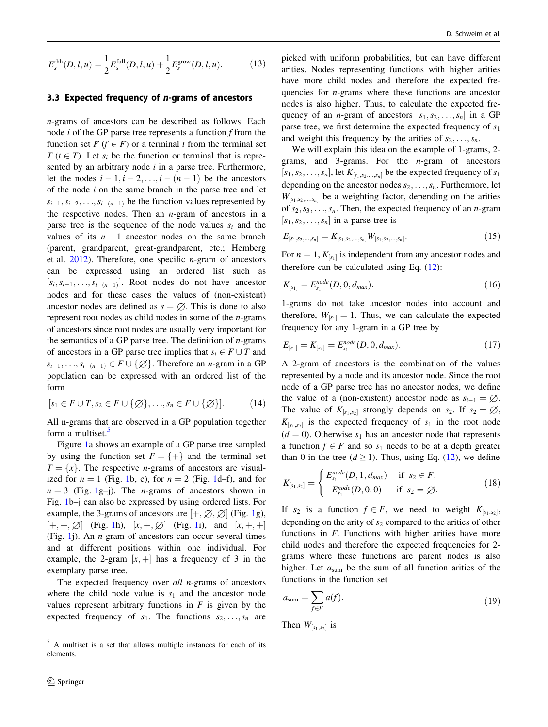<span id="page-5-0"></span>
$$
E_s^{\text{rhh}}(D,l,u) = \frac{1}{2} E_s^{\text{full}}(D,l,u) + \frac{1}{2} E_s^{\text{grow}}(D,l,u). \tag{13}
$$

#### 3.3 Expected frequency of n-grams of ancestors

n-grams of ancestors can be described as follows. Each node  $i$  of the GP parse tree represents a function  $f$  from the function set  $F$  ( $f \in F$ ) or a terminal t from the terminal set  $T$  ( $t \in T$ ). Let  $s_i$  be the function or terminal that is represented by an arbitrary node  $i$  in a parse tree. Furthermore, let the nodes  $i - 1$ ,  $i - 2, \ldots, i - (n - 1)$  be the ancestors of the node  $i$  on the same branch in the parse tree and let  $s_{i-1}, s_{i-2}, \ldots, s_{i-(n-1)}$  be the function values represented by the respective nodes. Then an  $n$ -gram of ancestors in a parse tree is the sequence of the node values  $s_i$  and the values of its  $n - 1$  ancestor nodes on the same branch (parent, grandparent, great-grandparent, etc.; Hemberg et al.  $2012$ ). Therefore, one specific *n*-gram of ancestors can be expressed using an ordered list such as  $[s_i, s_{i-1}, \ldots, s_{i-(n-1)}].$  Root nodes do not have ancestor nodes and for these cases the values of (non-existent) ancestor nodes are defined as  $s = \emptyset$ . This is done to also represent root nodes as child nodes in some of the n-grams of ancestors since root nodes are usually very important for the semantics of a GP parse tree. The definition of  $n$ -grams of ancestors in a GP parse tree implies that  $s_i \in F \cup T$  and  $s_{i-1}, \ldots, s_{i-(n-1)} \in F \cup \{\emptyset\}.$  Therefore an *n*-gram in a GP population can be expressed with an ordered list of the form

$$
[s_1 \in F \cup T, s_2 \in F \cup \{\emptyset\}, \dots, s_n \in F \cup \{\emptyset\}]. \tag{14}
$$

All n-grams that are observed in a GP population together form a multiset.<sup>5</sup>

Figure [1a](#page-6-0) shows an example of a GP parse tree sampled by using the function set  $F = \{+\}$  and the terminal set  $T = \{x\}$ . The respective *n*-grams of ancestors are visualized for  $n = 1$  $n = 1$  (Fig. 1b, c), for  $n = 2$  (Fig. 1d–f), and for  $n = 3$  (Fig. [1g](#page-6-0)–j). The *n*-grams of ancestors shown in Fig. [1](#page-6-0)b–j can also be expressed by using ordered lists. For example, the 3-grams of ancestors are  $[+, \emptyset, \emptyset]$  (Fig. [1](#page-6-0)g),  $[+, +, \emptyset]$  (Fig. [1h](#page-6-0)),  $[x, +, \emptyset]$  (Fig. [1](#page-6-0)i), and  $[x, +, +]$ (Fig. [1](#page-6-0)j). An n-gram of ancestors can occur several times and at different positions within one individual. For example, the 2-gram  $[x,+]$  has a frequency of 3 in the exemplary parse tree.

The expected frequency over all n-grams of ancestors where the child node value is  $s_1$  and the ancestor node values represent arbitrary functions in  $F$  is given by the expected frequency of  $s_1$ . The functions  $s_2, \ldots, s_n$  are picked with uniform probabilities, but can have different arities. Nodes representing functions with higher arities have more child nodes and therefore the expected frequencies for n-grams where these functions are ancestor nodes is also higher. Thus, to calculate the expected frequency of an *n*-gram of ancestors  $[s_1, s_2, \ldots, s_n]$  in a GP parse tree, we first determine the expected frequency of  $s_1$ and weight this frequency by the arities of  $s_2, \ldots, s_n$ .

We will explain this idea on the example of 1-grams, 2 grams, and 3-grams. For the  $n$ -gram of ancestors  $[s_1, s_2, \ldots, s_n]$ , let  $K_{[s_1, s_2, \ldots, s_n]}$  be the expected frequency of  $s_1$ depending on the ancestor nodes  $s_2, \ldots, s_n$ . Furthermore, let  $W_{[s_1,s_2,...,s_n]}$  be a weighting factor, depending on the arities of  $s_2, s_3, \ldots, s_n$ . Then, the expected frequency of an *n*-gram  $[s_1, s_2, \ldots, s_n]$  in a parse tree is

$$
E_{[s_1,s_2,...,s_n]} = K_{[s_1,s_2,...,s_n]} W_{[s_1,s_2,...,s_n]}.
$$
\n(15)

For  $n = 1$ ,  $K_{[s_1]}$  is independent from any ancestor nodes and therefore can be calculated using Eq. ([12\)](#page-4-0):

$$
K_{[s_1]} = E_{s_1}^{node}(D, 0, d_{max}).
$$
\n(16)

1-grams do not take ancestor nodes into account and therefore,  $W_{[s_1]} = 1$ . Thus, we can calculate the expected frequency for any 1-gram in a GP tree by

$$
E_{[s_1]} = K_{[s_1]} = E_{s_1}^{node}(D, 0, d_{max}).
$$
\n(17)

A 2-gram of ancestors is the combination of the values represented by a node and its ancestor node. Since the root node of a GP parse tree has no ancestor nodes, we define the value of a (non-existent) ancestor node as  $s_{i-1} = \emptyset$ . The value of  $K_{[s_1,s_2]}$  strongly depends on  $s_2$ . If  $s_2 = \emptyset$ ,  $K_{[s_1,s_2]}$  is the expected frequency of  $s_1$  in the root node  $(d = 0)$ . Otherwise  $s_1$  has an ancestor node that represents a function  $f \in F$  and so  $s_1$  needs to be at a depth greater than 0 in the tree  $(d > 1)$ . Thus, using Eq. ([12\)](#page-4-0), we define

$$
K_{[s_1,s_2]} = \begin{cases} E_{s_1}^{node}(D,1,d_{max}) & \text{if } s_2 \in F, \\ E_{s_1}^{node}(D,0,0) & \text{if } s_2 = \varnothing. \end{cases}
$$
 (18)

If  $s_2$  is a function  $f \in F$ , we need to weight  $K_{[s_1,s_2]}$ , depending on the arity of  $s_2$  compared to the arities of other functions in  $F$ . Functions with higher arities have more child nodes and therefore the expected frequencies for 2 grams where these functions are parent nodes is also higher. Let  $a_{sum}$  be the sum of all function arities of the functions in the function set

$$
a_{\text{sum}} = \sum_{f \in F} a(f). \tag{19}
$$

Then  $W_{[s_1,s_2]}$  is

<sup>5</sup> A multiset is a set that allows multiple instances for each of its elements.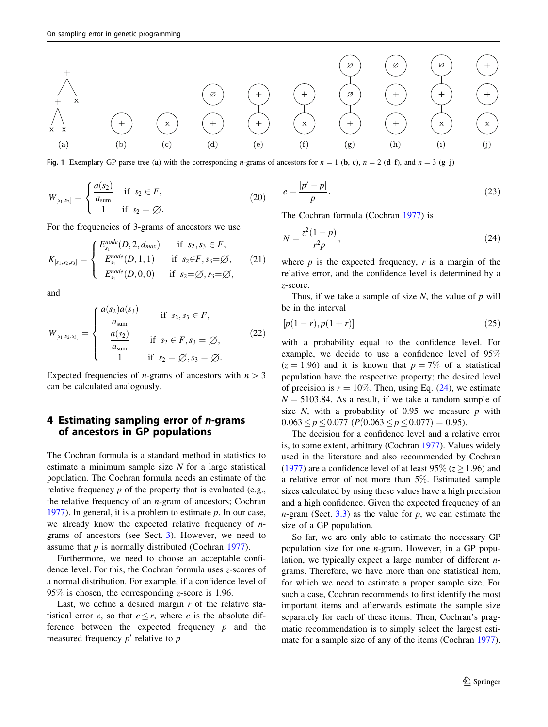<span id="page-6-0"></span>

Fig. 1 Exemplary GP parse tree (a) with the corresponding n-grams of ancestors for  $n = 1$  (b, c),  $n = 2$  (d–f), and  $n = 3$  (g–j)

$$
W_{[s_1, s_2]} = \begin{cases} \frac{a(s_2)}{a_{\text{sum}}} & \text{if } s_2 \in F, \\ 1 & \text{if } s_2 = \emptyset. \end{cases}
$$
 (20)

For the frequencies of 3-grams of ancestors we use

$$
K_{[s_1,s_2,s_3]} = \begin{cases} E_{s_1}^{node}(D,2,d_{max}) & \text{if } s_2, s_3 \in F, \\ E_{s_1}^{node}(D,1,1) & \text{if } s_2 \in F, s_3 = \emptyset, \\ E_{s_1}^{node}(D,0,0) & \text{if } s_2 = \emptyset, s_3 = \emptyset, \end{cases}
$$
 (21)

and

$$
W_{[s_1, s_2, s_3]} = \begin{cases} \frac{a(s_2)a(s_3)}{a_{\text{sum}}} & \text{if } s_2, s_3 \in F, \\ \frac{a(s_2)}{a_{\text{sum}}} & \text{if } s_2 \in F, s_3 = \emptyset, \\ 1 & \text{if } s_2 = \emptyset, s_3 = \emptyset. \end{cases}
$$
(22)

Expected frequencies of *n*-grams of ancestors with  $n > 3$ can be calculated analogously.

# 4 Estimating sampling error of n-grams of ancestors in GP populations

The Cochran formula is a standard method in statistics to estimate a minimum sample size  $N$  for a large statistical population. The Cochran formula needs an estimate of the relative frequency  $p$  of the property that is evaluated (e.g., the relative frequency of an  $n$ -gram of ancestors; Cochran [1977\)](#page-12-0). In general, it is a problem to estimate  $p$ . In our case, we already know the expected relative frequency of  $n$ grams of ancestors (see Sect. [3](#page-3-0)). However, we need to assume that  $p$  is normally distributed (Cochran [1977\)](#page-12-0).

Furthermore, we need to choose an acceptable confidence level. For this, the Cochran formula uses z-scores of a normal distribution. For example, if a confidence level of 95% is chosen, the corresponding z-score is 1.96.

Last, we define a desired margin  $r$  of the relative statistical error e, so that  $e \leq r$ , where e is the absolute difference between the expected frequency  $p$  and the measured frequency  $p'$  relative to  $p$ 

$$
e = \frac{|p'-p|}{p}.\tag{23}
$$

The Cochran formula (Cochran [1977\)](#page-12-0) is

$$
N = \frac{z^2(1-p)}{r^2p},
$$
\n(24)

where  $p$  is the expected frequency,  $r$  is a margin of the relative error, and the confidence level is determined by a z-score.

Thus, if we take a sample of size  $N$ , the value of  $p$  will be in the interval

$$
[p(1-r), p(1+r)] \tag{25}
$$

with a probability equal to the confidence level. For example, we decide to use a confidence level of 95%  $(z = 1.96)$  and it is known that  $p = 7\%$  of a statistical population have the respective property; the desired level of precision is  $r = 10\%$ . Then, using Eq. (24), we estimate  $N = 5103.84$ . As a result, if we take a random sample of size  $N$ , with a probability of 0.95 we measure  $p$  with  $0.063 \le p \le 0.077$  ( $P(0.063 \le p \le 0.077) = 0.95$ ).

The decision for a confidence level and a relative error is, to some extent, arbitrary (Cochran [1977](#page-12-0)). Values widely used in the literature and also recommended by Cochran [\(1977](#page-12-0)) are a confidence level of at least 95% ( $z \ge 1.96$ ) and a relative error of not more than 5%. Estimated sample sizes calculated by using these values have a high precision and a high confidence. Given the expected frequency of an  $n$ -gram (Sect. [3.3](#page-5-0)) as the value for  $p$ , we can estimate the size of a GP population.

So far, we are only able to estimate the necessary GP population size for one n-gram. However, in a GP population, we typically expect a large number of different ngrams. Therefore, we have more than one statistical item, for which we need to estimate a proper sample size. For such a case, Cochran recommends to first identify the most important items and afterwards estimate the sample size separately for each of these items. Then, Cochran's pragmatic recommendation is to simply select the largest estimate for a sample size of any of the items (Cochran [1977](#page-12-0)).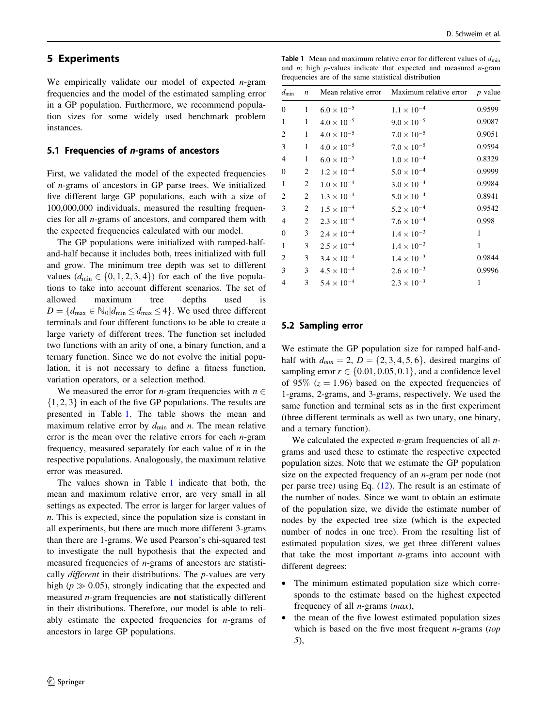### <span id="page-7-0"></span>5 Experiments

We empirically validate our model of expected  $n$ -gram frequencies and the model of the estimated sampling error in a GP population. Furthermore, we recommend population sizes for some widely used benchmark problem instances.

#### 5.1 Frequencies of n-grams of ancestors

First, we validated the model of the expected frequencies of n-grams of ancestors in GP parse trees. We initialized five different large GP populations, each with a size of 100,000,000 individuals, measured the resulting frequencies for all n-grams of ancestors, and compared them with the expected frequencies calculated with our model.

The GP populations were initialized with ramped-halfand-half because it includes both, trees initialized with full and grow. The minimum tree depth was set to different values  $(d_{\text{min}} \in \{0, 1, 2, 3, 4\})$  for each of the five populations to take into account different scenarios. The set of allowed maximum tree depths used is  $D = \{d_{\text{max}} \in \mathbb{N}_0 | d_{\text{min}} \leq d_{\text{max}} \leq 4\}.$  We used three different terminals and four different functions to be able to create a large variety of different trees. The function set included two functions with an arity of one, a binary function, and a ternary function. Since we do not evolve the initial population, it is not necessary to define a fitness function, variation operators, or a selection method.

We measured the error for *n*-gram frequencies with  $n \in$  $\{1, 2, 3\}$  in each of the five GP populations. The results are presented in Table 1. The table shows the mean and maximum relative error by  $d_{\min}$  and n. The mean relative error is the mean over the relative errors for each  $n$ -gram frequency, measured separately for each value of  $n$  in the respective populations. Analogously, the maximum relative error was measured.

The values shown in Table 1 indicate that both, the mean and maximum relative error, are very small in all settings as expected. The error is larger for larger values of n. This is expected, since the population size is constant in all experiments, but there are much more different 3-grams than there are 1-grams. We used Pearson's chi-squared test to investigate the null hypothesis that the expected and measured frequencies of n-grams of ancestors are statistically *different* in their distributions. The *p*-values are very high ( $p \gg 0.05$ ), strongly indicating that the expected and measured n-gram frequencies are not statistically different in their distributions. Therefore, our model is able to reliably estimate the expected frequencies for  $n$ -grams of ancestors in large GP populations.

**Table 1** Mean and maximum relative error for different values of  $d_{\text{min}}$ and  $n$ ; high  $p$ -values indicate that expected and measured  $n$ -gram frequencies are of the same statistical distribution

| $d_{\min}$   | $\boldsymbol{n}$ | Mean relative error  | Maximum relative error | $p$ value |
|--------------|------------------|----------------------|------------------------|-----------|
| $\mathbf{0}$ | 1                | $6.0 \times 10^{-5}$ | $1.1 \times 10^{-4}$   | 0.9599    |
| 1            | 1                | $4.0 \times 10^{-5}$ | $9.0 \times 10^{-5}$   | 0.9087    |
| 2            | 1                | $4.0 \times 10^{-5}$ | $7.0 \times 10^{-5}$   | 0.9051    |
| 3            | $\mathbf{1}$     | $4.0 \times 10^{-5}$ | $7.0 \times 10^{-5}$   | 0.9594    |
| 4            | 1                | $6.0 \times 10^{-5}$ | $1.0 \times 10^{-4}$   | 0.8329    |
| $\mathbf{0}$ | 2                | $1.2 \times 10^{-4}$ | $5.0 \times 10^{-4}$   | 0.9999    |
| 1            | 2                | $1.0 \times 10^{-4}$ | $3.0 \times 10^{-4}$   | 0.9984    |
| 2            | 2                | $1.3 \times 10^{-4}$ | $5.0 \times 10^{-4}$   | 0.8941    |
| 3            | 2                | $1.5 \times 10^{-4}$ | $5.2 \times 10^{-4}$   | 0.9542    |
| 4            | 2                | $2.3 \times 10^{-4}$ | $7.6 \times 10^{-4}$   | 0.998     |
| $\mathbf{0}$ | 3                | $2.4 \times 10^{-4}$ | $1.4 \times 10^{-3}$   | 1         |
| 1            | 3                | $2.5 \times 10^{-4}$ | $1.4 \times 10^{-3}$   | 1         |
| 2            | 3                | $3.4 \times 10^{-4}$ | $1.4 \times 10^{-3}$   | 0.9844    |
| 3            | 3                | $4.5 \times 10^{-4}$ | $2.6 \times 10^{-3}$   | 0.9996    |
| 4            | 3                | $5.4 \times 10^{-4}$ | $2.3 \times 10^{-3}$   | 1         |

#### 5.2 Sampling error

We estimate the GP population size for ramped half-andhalf with  $d_{min} = 2$ ,  $D = \{2, 3, 4, 5, 6\}$ , desired margins of sampling error  $r \in \{0.01, 0.05, 0.1\}$ , and a confidence level of 95% ( $z = 1.96$ ) based on the expected frequencies of 1-grams, 2-grams, and 3-grams, respectively. We used the same function and terminal sets as in the first experiment (three different terminals as well as two unary, one binary, and a ternary function).

We calculated the expected  $n$ -gram frequencies of all  $n$ grams and used these to estimate the respective expected population sizes. Note that we estimate the GP population size on the expected frequency of an  $n$ -gram per node (not per parse tree) using Eq. [\(12](#page-4-0)). The result is an estimate of the number of nodes. Since we want to obtain an estimate of the population size, we divide the estimate number of nodes by the expected tree size (which is the expected number of nodes in one tree). From the resulting list of estimated population sizes, we get three different values that take the most important  $n$ -grams into account with different degrees:

- The minimum estimated population size which corresponds to the estimate based on the highest expected frequency of all  $n$ -grams ( $max$ ),
- the mean of the five lowest estimated population sizes which is based on the five most frequent  $n$ -grams (top 5),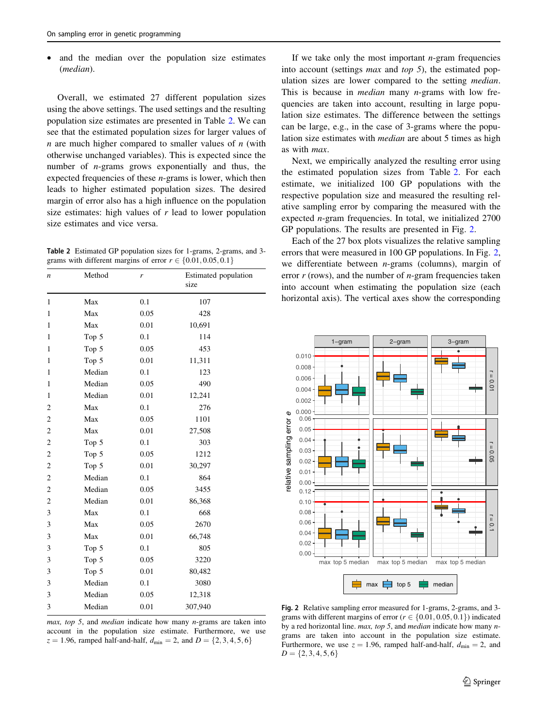and the median over the population size estimates (median).

Overall, we estimated 27 different population sizes using the above settings. The used settings and the resulting population size estimates are presented in Table 2. We can see that the estimated population sizes for larger values of  $n$  are much higher compared to smaller values of  $n$  (with otherwise unchanged variables). This is expected since the number of n-grams grows exponentially and thus, the expected frequencies of these  $n$ -grams is lower, which then leads to higher estimated population sizes. The desired margin of error also has a high influence on the population size estimates: high values of  $r$  lead to lower population size estimates and vice versa.

Table 2 Estimated GP population sizes for 1-grams, 2-grams, and 3 grams with different margins of error  $r \in \{0.01, 0.05, 0.1\}$ 

| $\boldsymbol{n}$ | Method | r    | Estimated population<br>size |
|------------------|--------|------|------------------------------|
| $\mathbf{1}$     | Max    | 0.1  | 107                          |
| 1                | Max    | 0.05 | 428                          |
| $\mathbf{1}$     | Max    | 0.01 | 10,691                       |
| 1                | Top 5  | 0.1  | 114                          |
| 1                | Top 5  | 0.05 | 453                          |
| 1                | Top 5  | 0.01 | 11,311                       |
| 1                | Median | 0.1  | 123                          |
| 1                | Median | 0.05 | 490                          |
| 1                | Median | 0.01 | 12,241                       |
| 2                | Max    | 0.1  | 276                          |
| $\overline{c}$   | Max    | 0.05 | 1101                         |
| $\overline{c}$   | Max    | 0.01 | 27,508                       |
| $\overline{c}$   | Top 5  | 0.1  | 303                          |
| $\overline{c}$   | Top 5  | 0.05 | 1212                         |
| $\overline{c}$   | Top 5  | 0.01 | 30,297                       |
| $\overline{c}$   | Median | 0.1  | 864                          |
| $\overline{c}$   | Median | 0.05 | 3455                         |
| $\overline{c}$   | Median | 0.01 | 86,368                       |
| 3                | Max    | 0.1  | 668                          |
| 3                | Max    | 0.05 | 2670                         |
| 3                | Max    | 0.01 | 66,748                       |
| 3                | Top 5  | 0.1  | 805                          |
| 3                | Top 5  | 0.05 | 3220                         |
| 3                | Top 5  | 0.01 | 80,482                       |
| 3                | Median | 0.1  | 3080                         |
| 3                | Median | 0.05 | 12,318                       |
| 3                | Median | 0.01 | 307,940                      |

If we take only the most important  $n$ -gram frequencies into account (settings max and top 5), the estimated population sizes are lower compared to the setting median. This is because in *median* many *n*-grams with low frequencies are taken into account, resulting in large population size estimates. The difference between the settings can be large, e.g., in the case of 3-grams where the population size estimates with median are about 5 times as high as with max.

Next, we empirically analyzed the resulting error using the estimated population sizes from Table 2. For each estimate, we initialized 100 GP populations with the respective population size and measured the resulting relative sampling error by comparing the measured with the expected n-gram frequencies. In total, we initialized 2700 GP populations. The results are presented in Fig. 2.

Each of the 27 box plots visualizes the relative sampling errors that were measured in 100 GP populations. In Fig. 2, we differentiate between  $n$ -grams (columns), margin of error  $r$  (rows), and the number of  $n$ -gram frequencies taken into account when estimating the population size (each horizontal axis). The vertical axes show the corresponding



max, top 5, and median indicate how many n-grams are taken into account in the population size estimate. Furthermore, we use  $z = 1.96$ , ramped half-and-half,  $d_{\text{min}} = 2$ , and  $D = \{2, 3, 4, 5, 6\}$ 

Fig. 2 Relative sampling error measured for 1-grams, 2-grams, and 3 grams with different margins of error ( $r \in \{0.01, 0.05, 0.1\}$ ) indicated by a red horizontal line. max, top 5, and median indicate how many  $n$ grams are taken into account in the population size estimate. Furthermore, we use  $z = 1.96$ , ramped half-and-half,  $d_{\text{min}} = 2$ , and  $D = \{2, 3, 4, 5, 6\}$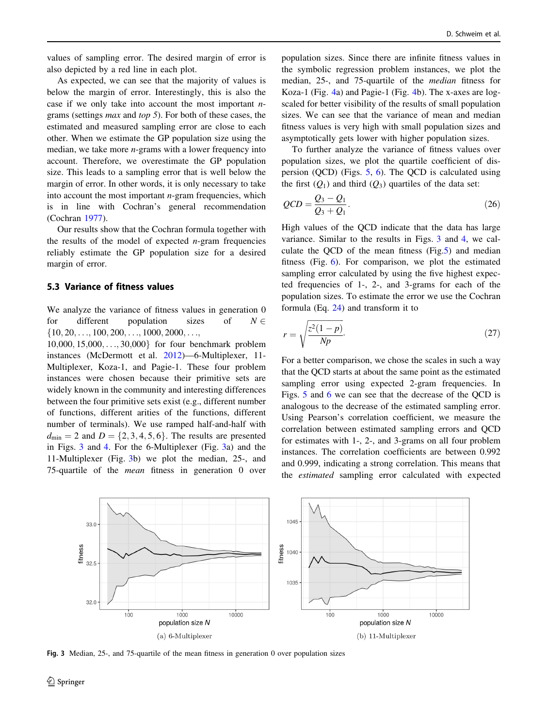values of sampling error. The desired margin of error is also depicted by a red line in each plot.

As expected, we can see that the majority of values is below the margin of error. Interestingly, this is also the case if we only take into account the most important  $n$ grams (settings max and top 5). For both of these cases, the estimated and measured sampling error are close to each other. When we estimate the GP population size using the median, we take more  $n$ -grams with a lower frequency into account. Therefore, we overestimate the GP population size. This leads to a sampling error that is well below the margin of error. In other words, it is only necessary to take into account the most important  $n$ -gram frequencies, which is in line with Cochran's general recommendation (Cochran [1977\)](#page-12-0).

Our results show that the Cochran formula together with the results of the model of expected  $n$ -gram frequencies reliably estimate the GP population size for a desired margin of error.

#### 5.3 Variance of fitness values

We analyze the variance of fitness values in generation 0 for different population sizes of  $N \in$  $\{10, 20, \ldots, 100, 200, \ldots, 1000, 2000, \ldots\}$ 

 $10,000, 15,000, \ldots, 30,000$  for four benchmark problem instances (McDermott et al. [2012\)](#page-12-0)—6-Multiplexer, 11- Multiplexer, Koza-1, and Pagie-1. These four problem instances were chosen because their primitive sets are widely known in the community and interesting differences between the four primitive sets exist (e.g., different number of functions, different arities of the functions, different number of terminals). We use ramped half-and-half with  $d_{\text{min}} = 2$  and  $D = \{2, 3, 4, 5, 6\}$ . The results are presented in Figs. 3 and [4.](#page-10-0) For the 6-Multiplexer (Fig. 3a) and the 11-Multiplexer (Fig. 3b) we plot the median, 25-, and 75-quartile of the mean fitness in generation 0 over population sizes. Since there are infinite fitness values in the symbolic regression problem instances, we plot the median, 25-, and 75-quartile of the median fitness for Koza-1 (Fig. [4](#page-10-0)a) and Pagie-1 (Fig. [4](#page-10-0)b). The x-axes are logscaled for better visibility of the results of small population sizes. We can see that the variance of mean and median fitness values is very high with small population sizes and asymptotically gets lower with higher population sizes.

To further analyze the variance of fitness values over population sizes, we plot the quartile coefficient of dispersion (QCD) (Figs. [5,](#page-10-0) [6\)](#page-10-0). The QCD is calculated using the first  $(Q_1)$  and third  $(Q_3)$  quartiles of the data set:

$$
QCD = \frac{Q_3 - Q_1}{Q_3 + Q_1}.
$$
\n(26)

High values of the QCD indicate that the data has large variance. Similar to the results in Figs. 3 and [4,](#page-10-0) we calculate the QCD of the mean fitness (Fig.[5\)](#page-10-0) and median fitness (Fig. [6\)](#page-10-0). For comparison, we plot the estimated sampling error calculated by using the five highest expected frequencies of 1-, 2-, and 3-grams for each of the population sizes. To estimate the error we use the Cochran formula (Eq. [24](#page-6-0)) and transform it to

$$
r = \sqrt{\frac{z^2(1-p)}{Np}}.\tag{27}
$$

For a better comparison, we chose the scales in such a way that the QCD starts at about the same point as the estimated sampling error using expected 2-gram frequencies. In Figs. [5](#page-10-0) and [6](#page-10-0) we can see that the decrease of the QCD is analogous to the decrease of the estimated sampling error. Using Pearson's correlation coefficient, we measure the correlation between estimated sampling errors and QCD for estimates with 1-, 2-, and 3-grams on all four problem instances. The correlation coefficients are between 0.992 and 0.999, indicating a strong correlation. This means that the estimated sampling error calculated with expected



Fig. 3 Median, 25-, and 75-quartile of the mean fitness in generation 0 over population sizes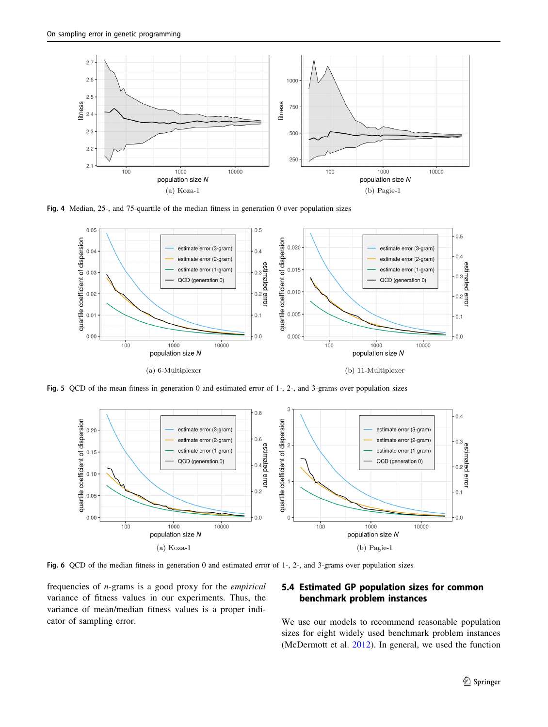<span id="page-10-0"></span>

Fig. 4 Median, 25-, and 75-quartile of the median fitness in generation 0 over population sizes



Fig. 5 QCD of the mean fitness in generation 0 and estimated error of 1-, 2-, and 3-grams over population sizes



Fig. 6 QCD of the median fitness in generation 0 and estimated error of 1-, 2-, and 3-grams over population sizes

frequencies of n-grams is a good proxy for the empirical variance of fitness values in our experiments. Thus, the variance of mean/median fitness values is a proper indicator of sampling error.

### 5.4 Estimated GP population sizes for common benchmark problem instances

We use our models to recommend reasonable population sizes for eight widely used benchmark problem instances (McDermott et al. [2012\)](#page-12-0). In general, we used the function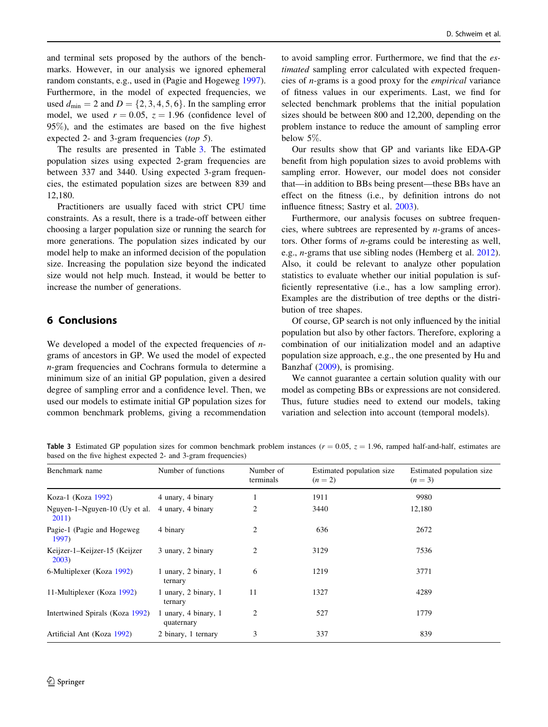and terminal sets proposed by the authors of the benchmarks. However, in our analysis we ignored ephemeral random constants, e.g., used in (Pagie and Hogeweg [1997](#page-12-0)). Furthermore, in the model of expected frequencies, we used  $d_{\min} = 2$  and  $D = \{2, 3, 4, 5, 6\}$ . In the sampling error model, we used  $r = 0.05$ ,  $z = 1.96$  (confidence level of 95%), and the estimates are based on the five highest expected 2- and 3-gram frequencies (top 5).

The results are presented in Table 3. The estimated population sizes using expected 2-gram frequencies are between 337 and 3440. Using expected 3-gram frequencies, the estimated population sizes are between 839 and 12,180.

Practitioners are usually faced with strict CPU time constraints. As a result, there is a trade-off between either choosing a larger population size or running the search for more generations. The population sizes indicated by our model help to make an informed decision of the population size. Increasing the population size beyond the indicated size would not help much. Instead, it would be better to increase the number of generations.

# 6 Conclusions

We developed a model of the expected frequencies of  $n$ grams of ancestors in GP. We used the model of expected n-gram frequencies and Cochrans formula to determine a minimum size of an initial GP population, given a desired degree of sampling error and a confidence level. Then, we used our models to estimate initial GP population sizes for common benchmark problems, giving a recommendation to avoid sampling error. Furthermore, we find that the estimated sampling error calculated with expected frequencies of n-grams is a good proxy for the empirical variance of fitness values in our experiments. Last, we find for selected benchmark problems that the initial population sizes should be between 800 and 12,200, depending on the problem instance to reduce the amount of sampling error below 5%.

Our results show that GP and variants like EDA-GP benefit from high population sizes to avoid problems with sampling error. However, our model does not consider that—in addition to BBs being present—these BBs have an effect on the fitness (i.e., by definition introns do not influence fitness; Sastry et al. [2003\)](#page-13-0).

Furthermore, our analysis focuses on subtree frequencies, where subtrees are represented by  $n$ -grams of ancestors. Other forms of n-grams could be interesting as well, e.g., n-grams that use sibling nodes (Hemberg et al. [2012](#page-12-0)). Also, it could be relevant to analyze other population statistics to evaluate whether our initial population is sufficiently representative (i.e., has a low sampling error). Examples are the distribution of tree depths or the distribution of tree shapes.

Of course, GP search is not only influenced by the initial population but also by other factors. Therefore, exploring a combination of our initialization model and an adaptive population size approach, e.g., the one presented by Hu and Banzhaf [\(2009](#page-12-0)), is promising.

We cannot guarantee a certain solution quality with our model as competing BBs or expressions are not considered. Thus, future studies need to extend our models, taking variation and selection into account (temporal models).

Table 3 Estimated GP population sizes for common benchmark problem instances ( $r = 0.05$ ,  $z = 1.96$ , ramped half-and-half, estimates are based on the five highest expected 2- and 3-gram frequencies)

| Benchmark name                         | Number of functions                | Number of<br>terminals | Estimated population size<br>$(n = 2)$ | Estimated population size<br>$(n = 3)$ |
|----------------------------------------|------------------------------------|------------------------|----------------------------------------|----------------------------------------|
| Koza-1 (Koza 1992)                     | 4 unary, 4 binary                  | 1                      | 1911                                   | 9980                                   |
| Nguyen-1-Nguyen-10 (Uy et al.<br>2011) | 4 unary, 4 binary                  | 2                      | 3440                                   | 12,180                                 |
| Pagie-1 (Pagie and Hogeweg)<br>1997)   | 4 binary                           | 2                      | 636                                    | 2672                                   |
| Keijzer-1-Keijzer-15 (Keijzer<br>2003) | 3 unary, 2 binary                  | 2                      | 3129                                   | 7536                                   |
| 6-Multiplexer (Koza 1992)              | 1 unary, 2 binary, 1<br>ternary    | 6                      | 1219                                   | 3771                                   |
| 11-Multiplexer (Koza 1992)             | 1 unary, 2 binary, 1<br>ternary    | 11                     | 1327                                   | 4289                                   |
| Intertwined Spirals (Koza 1992)        | 1 unary, 4 binary, 1<br>quaternary | 2                      | 527                                    | 1779                                   |
| Artificial Ant (Koza 1992)             | 2 binary, 1 ternary                | 3                      | 337                                    | 839                                    |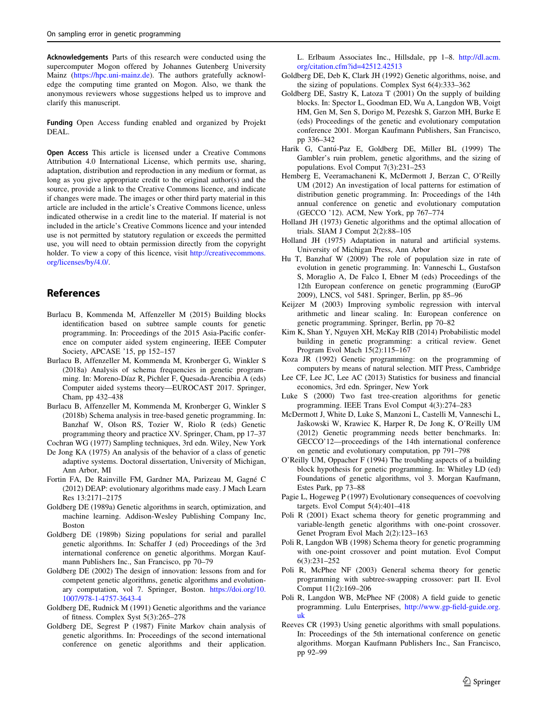<span id="page-12-0"></span>Acknowledgements Parts of this research were conducted using the supercomputer Mogon offered by Johannes Gutenberg University Mainz [\(https://hpc.uni-mainz.de\)](https://hpc.uni-mainz.de). The authors gratefully acknowledge the computing time granted on Mogon. Also, we thank the anonymous reviewers whose suggestions helped us to improve and clarify this manuscript.

Funding Open Access funding enabled and organized by Projekt DEAL.

Open Access This article is licensed under a Creative Commons Attribution 4.0 International License, which permits use, sharing, adaptation, distribution and reproduction in any medium or format, as long as you give appropriate credit to the original author(s) and the source, provide a link to the Creative Commons licence, and indicate if changes were made. The images or other third party material in this article are included in the article's Creative Commons licence, unless indicated otherwise in a credit line to the material. If material is not included in the article's Creative Commons licence and your intended use is not permitted by statutory regulation or exceeds the permitted use, you will need to obtain permission directly from the copyright holder. To view a copy of this licence, visit [http://creativecommons.](http://creativecommons.org/licenses/by/4.0/) [org/licenses/by/4.0/.](http://creativecommons.org/licenses/by/4.0/)

## References

- Burlacu B, Kommenda M, Affenzeller M (2015) Building blocks identification based on subtree sample counts for genetic programming. In: Proceedings of the 2015 Asia-Pacific conference on computer aided system engineering, IEEE Computer Society, APCASE '15, pp 152–157
- Burlacu B, Affenzeller M, Kommenda M, Kronberger G, Winkler S (2018a) Analysis of schema frequencies in genetic programming. In: Moreno-Díaz R, Pichler F, Quesada-Arencibia A (eds) Computer aided systems theory—EUROCAST 2017. Springer, Cham, pp 432–438
- Burlacu B, Affenzeller M, Kommenda M, Kronberger G, Winkler S (2018b) Schema analysis in tree-based genetic programming. In: Banzhaf W, Olson RS, Tozier W, Riolo R (eds) Genetic programming theory and practice XV. Springer, Cham, pp 17–37
- Cochran WG (1977) Sampling techniques, 3rd edn. Wiley, New York De Jong KA (1975) An analysis of the behavior of a class of genetic adaptive systems. Doctoral dissertation, University of Michigan, Ann Arbor, MI
- Fortin FA, De Rainville FM, Gardner MA, Parizeau M, Gagné C (2012) DEAP: evolutionary algorithms made easy. J Mach Learn Res 13:2171–2175
- Goldberg DE (1989a) Genetic algorithms in search, optimization, and machine learning. Addison-Wesley Publishing Company Inc, Boston
- Goldberg DE (1989b) Sizing populations for serial and parallel genetic algorithms. In: Schaffer J (ed) Proceedings of the 3rd international conference on genetic algorithms. Morgan Kaufmann Publishers Inc., San Francisco, pp 70–79
- Goldberg DE (2002) The design of innovation: lessons from and for competent genetic algorithms, genetic algorithms and evolutionary computation, vol 7. Springer, Boston. [https://doi.org/10.](https://doi.org/10.1007/978-1-4757-3643-4) [1007/978-1-4757-3643-4](https://doi.org/10.1007/978-1-4757-3643-4)
- Goldberg DE, Rudnick M (1991) Genetic algorithms and the variance of fitness. Complex Syst 5(3):265–278
- Goldberg DE, Segrest P (1987) Finite Markov chain analysis of genetic algorithms. In: Proceedings of the second international conference on genetic algorithms and their application.

L. Erlbaum Associates Inc., Hillsdale, pp 1–8. [http://dl.acm.](http://dl.acm.org/citation.cfm?id=42512.42513) [org/citation.cfm?id=42512.42513](http://dl.acm.org/citation.cfm?id=42512.42513)

- Goldberg DE, Deb K, Clark JH (1992) Genetic algorithms, noise, and the sizing of populations. Complex Syst 6(4):333–362
- Goldberg DE, Sastry K, Latoza T (2001) On the supply of building blocks. In: Spector L, Goodman ED, Wu A, Langdon WB, Voigt HM, Gen M, Sen S, Dorigo M, Pezeshk S, Garzon MH, Burke E (eds) Proceedings of the genetic and evolutionary computation conference 2001. Morgan Kaufmann Publishers, San Francisco, pp 336–342
- Harik G, Cantú-Paz E, Goldberg DE, Miller BL (1999) The Gambler's ruin problem, genetic algorithms, and the sizing of populations. Evol Comput 7(3):231–253
- Hemberg E, Veeramachaneni K, McDermott J, Berzan C, O'Reilly UM (2012) An investigation of local patterns for estimation of distribution genetic programming. In: Proceedings of the 14th annual conference on genetic and evolutionary computation (GECCO '12). ACM, New York, pp 767–774
- Holland JH (1973) Genetic algorithms and the optimal allocation of trials. SIAM J Comput 2(2):88–105
- Holland JH (1975) Adaptation in natural and artificial systems. University of Michigan Press, Ann Arbor
- Hu T, Banzhaf W (2009) The role of population size in rate of evolution in genetic programming. In: Vanneschi L, Gustafson S, Moraglio A, De Falco I, Ebner M (eds) Proceedings of the 12th European conference on genetic programming (EuroGP 2009), LNCS, vol 5481. Springer, Berlin, pp 85–96
- Keijzer M (2003) Improving symbolic regression with interval arithmetic and linear scaling. In: European conference on genetic programming. Springer, Berlin, pp 70–82
- Kim K, Shan Y, Nguyen XH, McKay RIB (2014) Probabilistic model building in genetic programming: a critical review. Genet Program Evol Mach 15(2):115–167
- Koza JR (1992) Genetic programming: on the programming of computers by means of natural selection. MIT Press, Cambridge
- Lee CF, Lee JC, Lee AC (2013) Statistics for business and financial economics, 3rd edn. Springer, New York
- Luke S (2000) Two fast tree-creation algorithms for genetic programming. IEEE Trans Evol Comput 4(3):274–283
- McDermott J, White D, Luke S, Manzoni L, Castelli M, Vanneschi L, Jas´kowski W, Krawiec K, Harper R, De Jong K, O'Reilly UM (2012) Genetic programming needs better benchmarks. In: GECCO'12—proceedings of the 14th international conference on genetic and evolutionary computation, pp 791–798
- O'Reilly UM, Oppacher F (1994) The troubling aspects of a building block hypothesis for genetic programming. In: Whitley LD (ed) Foundations of genetic algorithms, vol 3. Morgan Kaufmann, Estes Park, pp 73–88
- Pagie L, Hogeweg P (1997) Evolutionary consequences of coevolving targets. Evol Comput 5(4):401–418
- Poli R (2001) Exact schema theory for genetic programming and variable-length genetic algorithms with one-point crossover. Genet Program Evol Mach 2(2):123–163
- Poli R, Langdon WB (1998) Schema theory for genetic programming with one-point crossover and point mutation. Evol Comput 6(3):231–252
- Poli R, McPhee NF (2003) General schema theory for genetic programming with subtree-swapping crossover: part II. Evol Comput 11(2):169–206
- Poli R, Langdon WB, McPhee NF (2008) A field guide to genetic programming. Lulu Enterprises, [http://www.gp-field-guide.org.](http://www.gp-field-guide.org.uk) [uk](http://www.gp-field-guide.org.uk)
- Reeves CR (1993) Using genetic algorithms with small populations. In: Proceedings of the 5th international conference on genetic algorithms. Morgan Kaufmann Publishers Inc., San Francisco, pp 92–99